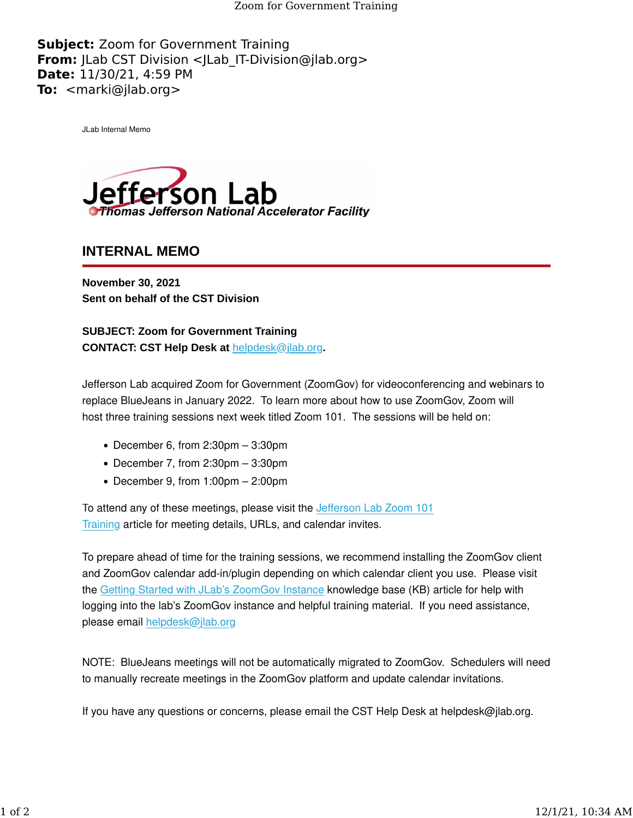Zoom for Government Training

**Subject:** Zoom for Government Training **From:** JLab CST Division <JLab IT-Division@jlab.org> **Date:** 11/30/21, 4:59 PM **To:** <marki@jlab.org>

JLab Internal Memo



**INTERNAL MEMO**

**November 30, 2021 Sent on behalf of the CST Division**

**SUBJECT: Zoom for Government Training CONTACT: CST Help Desk at** [helpdesk@jlab.org](mailto:helpdesk@jlab.org)**.**

Jefferson Lab acquired Zoom for Government (ZoomGov) for videoconferencing and webinars to replace BlueJeans in January 2022. To learn more about how to use ZoomGov, Zoom will host three training sessions next week titled Zoom 101. The sessions will be held on:

- December 6, from 2:30pm 3:30pm
- December 7, from 2:30pm 3:30pm
- December 9, from 1:00pm 2:00pm

To attend any of these meetings, please visit the Jeff[erson Lab Zoom 101](https://urldefense.proofpoint.com/v2/url?u=https-3A__jlab.us11.list-2Dmanage.com_track_click-3Fu-3D1de9c43e6d5e45ff0ecd664cd-26id-3D2ef07f3789-26e-3D7eb11e06d1&d=DwMFaQ&c=CJqEzB1piLOyyvZjb8YUQw&r=i3BxiInvFIdWuzU_zoMBCQ&m=7wUEZ_musuRClCNe5rp6U1hmcRk-_ZFzafbF2PWQGRt6jPi8pkumftDhqceJrlQ0&s=_XGqZQGGPTuzDa9O514ua6mqyWxvtH3xloRk3mfyst8&e=) [Training](https://urldefense.proofpoint.com/v2/url?u=https-3A__jlab.us11.list-2Dmanage.com_track_click-3Fu-3D1de9c43e6d5e45ff0ecd664cd-26id-3D2ef07f3789-26e-3D7eb11e06d1&d=DwMFaQ&c=CJqEzB1piLOyyvZjb8YUQw&r=i3BxiInvFIdWuzU_zoMBCQ&m=7wUEZ_musuRClCNe5rp6U1hmcRk-_ZFzafbF2PWQGRt6jPi8pkumftDhqceJrlQ0&s=_XGqZQGGPTuzDa9O514ua6mqyWxvtH3xloRk3mfyst8&e=) article for meeting details, URLs, and calendar invites.

To prepare ahead of time for the training sessions, we recommend installing the ZoomGov client and ZoomGov calendar add-in/plugin depending on which calendar client you use. Please visit the [Getting Started with JLab's ZoomGov Instance](https://urldefense.proofpoint.com/v2/url?u=https-3A__jlab.us11.list-2Dmanage.com_track_click-3Fu-3D1de9c43e6d5e45ff0ecd664cd-26id-3D53658c1873-26e-3D7eb11e06d1&d=DwMFaQ&c=CJqEzB1piLOyyvZjb8YUQw&r=i3BxiInvFIdWuzU_zoMBCQ&m=7wUEZ_musuRClCNe5rp6U1hmcRk-_ZFzafbF2PWQGRt6jPi8pkumftDhqceJrlQ0&s=TtsEQci45oviWsxJAQ9QXl-iSYMw_azyfwd5_Z5H9TE&e=) knowledge base (KB) article for help with logging into the lab's ZoomGov instance and helpful training material. If you need assistance, please email [helpdesk@jlab.org](mailto:helpdesk@jlab.org)

NOTE: BlueJeans meetings will not be automatically migrated to ZoomGov. Schedulers will need to manually recreate meetings in the ZoomGov platform and update calendar invitations.

If you have any questions or concerns, please email the CST Help Desk at helpdesk@jlab.org.